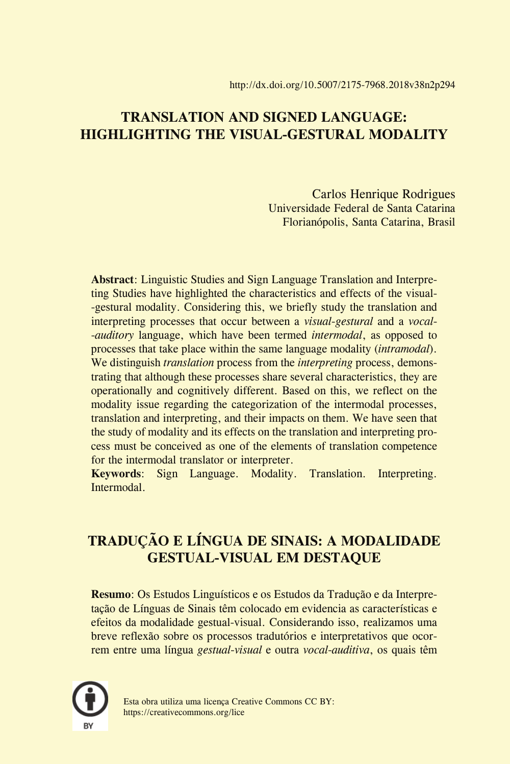## **TRANSLATION AND SIGNED LANGUAGE: HIGHLIGHTING THE VISUAL-GESTURAL MODALITY**

Carlos Henrique Rodrigues Universidade Federal de Santa Catarina Florianópolis, Santa Catarina, Brasil

**Abstract**: Linguistic Studies and Sign Language Translation and Interpreting Studies have highlighted the characteristics and effects of the visual- -gestural modality. Considering this, we briefly study the translation and interpreting processes that occur between a *visual-gestural* and a *vocal- -auditory* language, which have been termed *intermodal*, as opposed to processes that take place within the same language modality (*intramodal*). We distinguish *translation* process from the *interpreting* process, demonstrating that although these processes share several characteristics, they are operationally and cognitively different. Based on this, we reflect on the modality issue regarding the categorization of the intermodal processes, translation and interpreting, and their impacts on them. We have seen that the study of modality and its effects on the translation and interpreting process must be conceived as one of the elements of translation competence for the intermodal translator or interpreter.

**Keywords**: Sign Language. Modality. Translation. Interpreting. Intermodal.

# **TRADUÇÃO E LÍNGUA DE SINAIS: A MODALIDADE GESTUAL-VISUAL EM DESTAQUE**

**Resumo**: Os Estudos Linguísticos e os Estudos da Tradução e da Interpretação de Línguas de Sinais têm colocado em evidencia as características e efeitos da modalidade gestual-visual. Considerando isso, realizamos uma breve reflexão sobre os processos tradutórios e interpretativos que ocorrem entre uma língua *gestual-visual* e outra *vocal-auditiva*, os quais têm



Esta obra utiliza uma licença Creative Commons CC BY: https://creativecommons.org/lice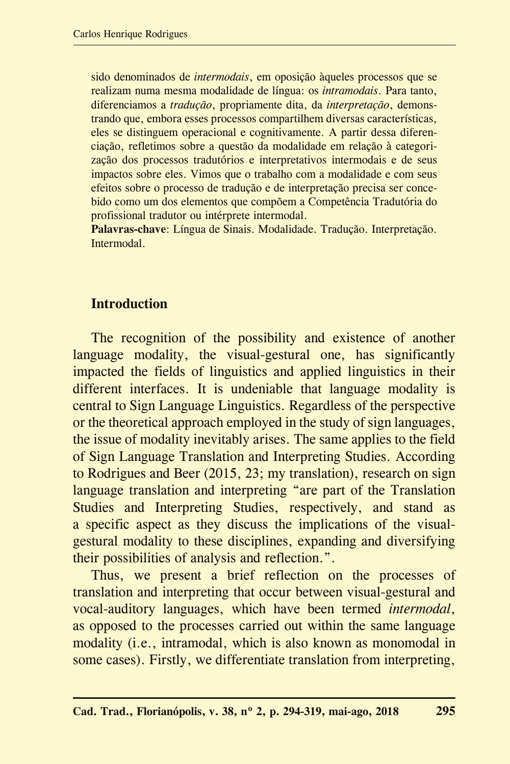sido denominados de *intermodais*, em oposição àqueles processos que se realizam numa mesma modalidade de língua: os *intramodais*. Para tanto, diferenciamos a *tradução*, propriamente dita, da *interpretação*, demonstrando que, embora esses processos compartilhem diversas características, eles se distinguem operacional e cognitivamente. A partir dessa diferenciação, refletimos sobre a questão da modalidade em relação à categorização dos processos tradutórios e interpretativos intermodais e de seus impactos sobre eles. Vimos que o trabalho com a modalidade e com seus efeitos sobre o processo de tradução e de interpretação precisa ser concebido como um dos elementos que compõem a Competência Tradutória do profissional tradutor ou intérprete intermodal.

**Palavras-chave**: Língua de Sinais. Modalidade. Tradução. Interpretação. Intermodal.

### **Introduction**

The recognition of the possibility and existence of another language modality, the visual-gestural one, has significantly impacted the fields of linguistics and applied linguistics in their different interfaces. It is undeniable that language modality is central to Sign Language Linguistics. Regardless of the perspective or the theoretical approach employed in the study of sign languages, the issue of modality inevitably arises. The same applies to the field of Sign Language Translation and Interpreting Studies. According to Rodrigues and Beer (2015, 23; my translation), research on sign language translation and interpreting "are part of the Translation Studies and Interpreting Studies, respectively, and stand as a specific aspect as they discuss the implications of the visualgestural modality to these disciplines, expanding and diversifying their possibilities of analysis and reflection.".

Thus, we present a brief reflection on the processes of translation and interpreting that occur between visual-gestural and vocal-auditory languages, which have been termed *intermodal*, as opposed to the processes carried out within the same language modality (i.e., intramodal, which is also known as monomodal in some cases). Firstly, we differentiate translation from interpreting,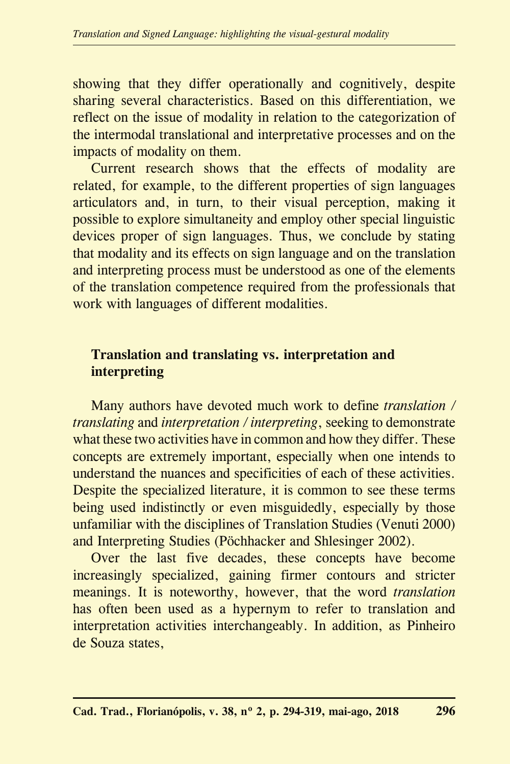showing that they differ operationally and cognitively, despite sharing several characteristics. Based on this differentiation, we reflect on the issue of modality in relation to the categorization of the intermodal translational and interpretative processes and on the impacts of modality on them.

Current research shows that the effects of modality are related, for example, to the different properties of sign languages articulators and, in turn, to their visual perception, making it possible to explore simultaneity and employ other special linguistic devices proper of sign languages. Thus, we conclude by stating that modality and its effects on sign language and on the translation and interpreting process must be understood as one of the elements of the translation competence required from the professionals that work with languages of different modalities.

### **Translation and translating vs. interpretation and interpreting**

Many authors have devoted much work to define *translation / translating* and *interpretation / interpreting*, seeking to demonstrate what these two activities have in common and how they differ. These concepts are extremely important, especially when one intends to understand the nuances and specificities of each of these activities. Despite the specialized literature, it is common to see these terms being used indistinctly or even misguidedly, especially by those unfamiliar with the disciplines of Translation Studies (Venuti 2000) and Interpreting Studies (Pöchhacker and Shlesinger 2002).

Over the last five decades, these concepts have become increasingly specialized, gaining firmer contours and stricter meanings. It is noteworthy, however, that the word *translation* has often been used as a hypernym to refer to translation and interpretation activities interchangeably. In addition, as Pinheiro de Souza states,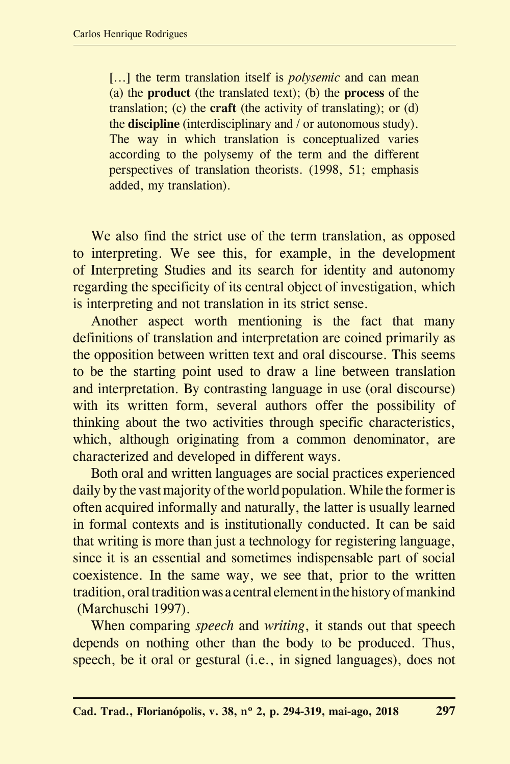[...] the term translation itself is *polysemic* and can mean (a) the **product** (the translated text); (b) the **process** of the translation; (c) the **craft** (the activity of translating); or (d) the **discipline** (interdisciplinary and / or autonomous study). The way in which translation is conceptualized varies according to the polysemy of the term and the different perspectives of translation theorists. (1998, 51; emphasis added, my translation).

We also find the strict use of the term translation, as opposed to interpreting. We see this, for example, in the development of Interpreting Studies and its search for identity and autonomy regarding the specificity of its central object of investigation, which is interpreting and not translation in its strict sense.

Another aspect worth mentioning is the fact that many definitions of translation and interpretation are coined primarily as the opposition between written text and oral discourse. This seems to be the starting point used to draw a line between translation and interpretation. By contrasting language in use (oral discourse) with its written form, several authors offer the possibility of thinking about the two activities through specific characteristics, which, although originating from a common denominator, are characterized and developed in different ways.

Both oral and written languages are social practices experienced daily by the vast majority of the world population. While the former is often acquired informally and naturally, the latter is usually learned in formal contexts and is institutionally conducted. It can be said that writing is more than just a technology for registering language, since it is an essential and sometimes indispensable part of social coexistence. In the same way, we see that, prior to the written tradition, oral tradition was a central element in the history of mankind (Marchuschi 1997).

When comparing *speech* and *writing*, it stands out that speech depends on nothing other than the body to be produced. Thus, speech, be it oral or gestural (i.e., in signed languages), does not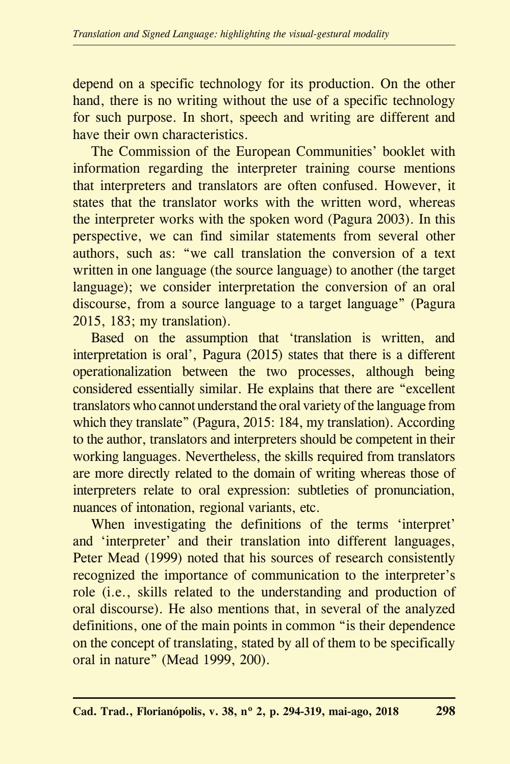depend on a specific technology for its production. On the other hand, there is no writing without the use of a specific technology for such purpose. In short, speech and writing are different and have their own characteristics.

The Commission of the European Communities' booklet with information regarding the interpreter training course mentions that interpreters and translators are often confused. However, it states that the translator works with the written word, whereas the interpreter works with the spoken word (Pagura 2003). In this perspective, we can find similar statements from several other authors, such as: "we call translation the conversion of a text written in one language (the source language) to another (the target language); we consider interpretation the conversion of an oral discourse, from a source language to a target language" (Pagura 2015, 183; my translation).

Based on the assumption that 'translation is written, and interpretation is oral', Pagura (2015) states that there is a different operationalization between the two processes, although being considered essentially similar. He explains that there are "excellent translators who cannot understand the oral variety of the language from which they translate" (Pagura, 2015: 184, my translation). According to the author, translators and interpreters should be competent in their working languages. Nevertheless, the skills required from translators are more directly related to the domain of writing whereas those of interpreters relate to oral expression: subtleties of pronunciation, nuances of intonation, regional variants, etc.

When investigating the definitions of the terms 'interpret' and 'interpreter' and their translation into different languages, Peter Mead (1999) noted that his sources of research consistently recognized the importance of communication to the interpreter's role (i.e., skills related to the understanding and production of oral discourse). He also mentions that, in several of the analyzed definitions, one of the main points in common "is their dependence on the concept of translating, stated by all of them to be specifically oral in nature" (Mead 1999, 200).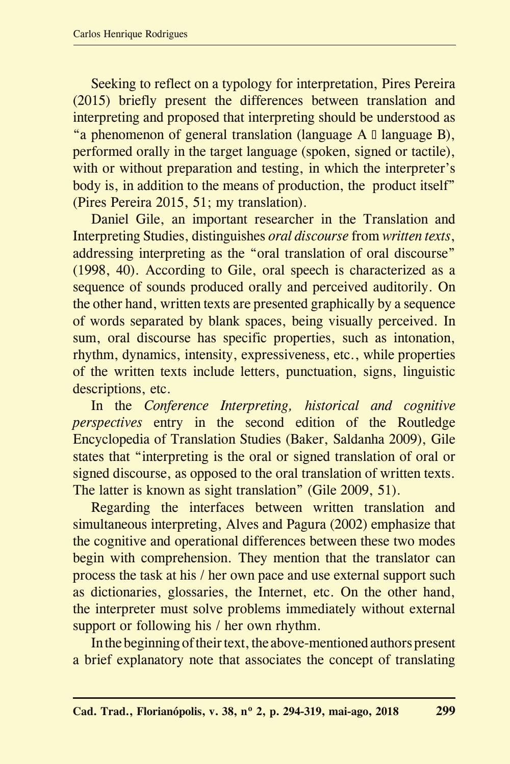Seeking to reflect on a typology for interpretation, Pires Pereira (2015) briefly present the differences between translation and interpreting and proposed that interpreting should be understood as "a phenomenon of general translation (language  $A \Box$  language  $B$ ), performed orally in the target language (spoken, signed or tactile), with or without preparation and testing, in which the interpreter's body is, in addition to the means of production, the product itself" (Pires Pereira 2015, 51; my translation).

Daniel Gile, an important researcher in the Translation and Interpreting Studies, distinguishes *oral discourse* from *written texts*, addressing interpreting as the "oral translation of oral discourse" (1998, 40). According to Gile, oral speech is characterized as a sequence of sounds produced orally and perceived auditorily. On the other hand, written texts are presented graphically by a sequence of words separated by blank spaces, being visually perceived. In sum, oral discourse has specific properties, such as intonation, rhythm, dynamics, intensity, expressiveness, etc., while properties of the written texts include letters, punctuation, signs, linguistic descriptions, etc.

In the *Conference Interpreting, historical and cognitive perspectives* entry in the second edition of the Routledge Encyclopedia of Translation Studies (Baker, Saldanha 2009), Gile states that "interpreting is the oral or signed translation of oral or signed discourse, as opposed to the oral translation of written texts. The latter is known as sight translation" (Gile 2009, 51).

Regarding the interfaces between written translation and simultaneous interpreting, Alves and Pagura (2002) emphasize that the cognitive and operational differences between these two modes begin with comprehension. They mention that the translator can process the task at his / her own pace and use external support such as dictionaries, glossaries, the Internet, etc. On the other hand, the interpreter must solve problems immediately without external support or following his / her own rhythm.

In the beginning of their text, the above-mentioned authors present a brief explanatory note that associates the concept of translating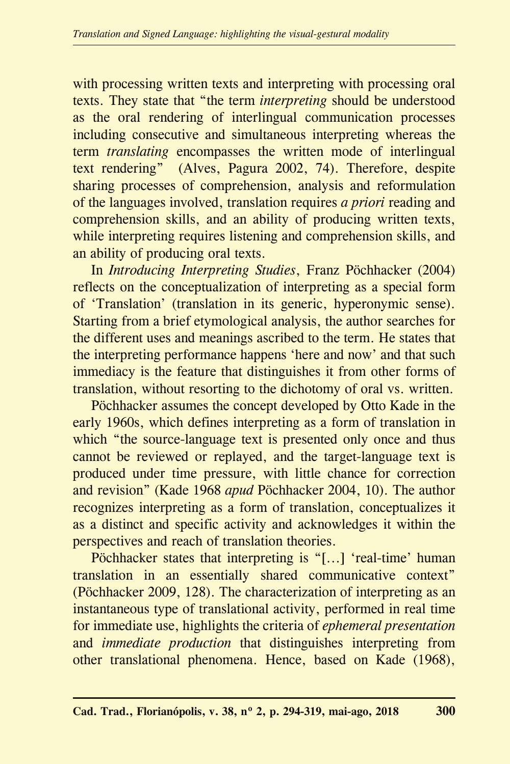with processing written texts and interpreting with processing oral texts. They state that "the term *interpreting* should be understood as the oral rendering of interlingual communication processes including consecutive and simultaneous interpreting whereas the term *translating* encompasses the written mode of interlingual text rendering" (Alves, Pagura 2002, 74). Therefore, despite sharing processes of comprehension, analysis and reformulation of the languages involved, translation requires *a priori* reading and comprehension skills, and an ability of producing written texts, while interpreting requires listening and comprehension skills, and an ability of producing oral texts.

In *Introducing Interpreting Studies*, Franz Pöchhacker (2004) reflects on the conceptualization of interpreting as a special form of 'Translation' (translation in its generic, hyperonymic sense). Starting from a brief etymological analysis, the author searches for the different uses and meanings ascribed to the term. He states that the interpreting performance happens 'here and now' and that such immediacy is the feature that distinguishes it from other forms of translation, without resorting to the dichotomy of oral vs. written.

Pöchhacker assumes the concept developed by Otto Kade in the early 1960s, which defines interpreting as a form of translation in which "the source-language text is presented only once and thus cannot be reviewed or replayed, and the target-language text is produced under time pressure, with little chance for correction and revision" (Kade 1968 *apud* Pöchhacker 2004, 10). The author recognizes interpreting as a form of translation, conceptualizes it as a distinct and specific activity and acknowledges it within the perspectives and reach of translation theories.

Pöchhacker states that interpreting is "[...] 'real-time' human translation in an essentially shared communicative context" (Pöchhacker 2009, 128). The characterization of interpreting as an instantaneous type of translational activity, performed in real time for immediate use, highlights the criteria of *ephemeral presentation* and *immediate production* that distinguishes interpreting from other translational phenomena. Hence, based on Kade (1968),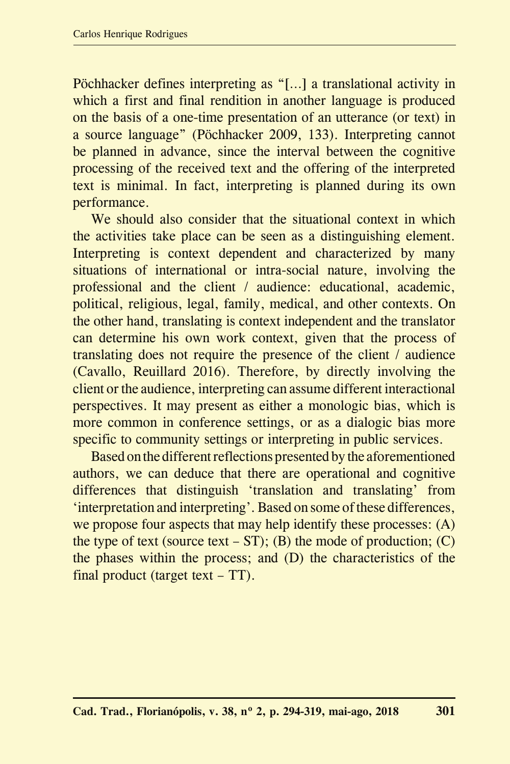Pöchhacker defines interpreting as "[…] a translational activity in which a first and final rendition in another language is produced on the basis of a one-time presentation of an utterance (or text) in a source language" (Pöchhacker 2009, 133). Interpreting cannot be planned in advance, since the interval between the cognitive processing of the received text and the offering of the interpreted text is minimal. In fact, interpreting is planned during its own performance.

We should also consider that the situational context in which the activities take place can be seen as a distinguishing element. Interpreting is context dependent and characterized by many situations of international or intra-social nature, involving the professional and the client / audience: educational, academic, political, religious, legal, family, medical, and other contexts. On the other hand, translating is context independent and the translator can determine his own work context, given that the process of translating does not require the presence of the client / audience (Cavallo, Reuillard 2016). Therefore, by directly involving the client or the audience, interpreting can assume different interactional perspectives. It may present as either a monologic bias, which is more common in conference settings, or as a dialogic bias more specific to community settings or interpreting in public services.

Based on the different reflections presented by the aforementioned authors, we can deduce that there are operational and cognitive differences that distinguish 'translation and translating' from 'interpretation and interpreting'. Based on some of these differences, we propose four aspects that may help identify these processes: (A) the type of text (source text –  $ST$ ); (B) the mode of production; (C) the phases within the process; and (D) the characteristics of the final product (target text – TT).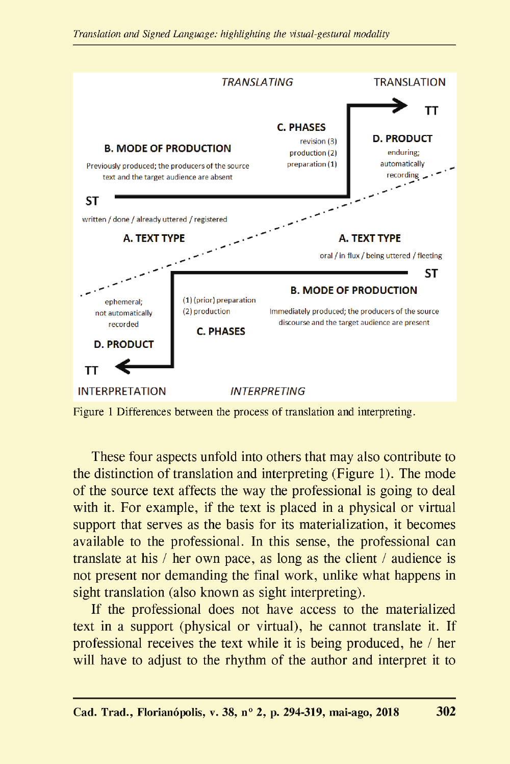

Figure 1 Differences between the process of translation and interpreting.

These four aspects unfold into others that may also contribute to the distinction of translation and interpreting (Figure 1). The mode of the source text affects the way the professional is going to deal with it. For example, if the text is placed in a physical or virtual support that serves as the basis for its materialization, it becomes available to the professional. In this sense, the professional can translate at his / her own pace, as long as the client / audience is not present nor demanding the final work, unlike what happens in sight translation (also known as sight interpreting).

If the professional does not have access to the materialized text in a support (physical or virtual), he cannot translate it. If professional receives the text while it is being produced, he / her will have to adjust to the rhythm of the author and interpret it to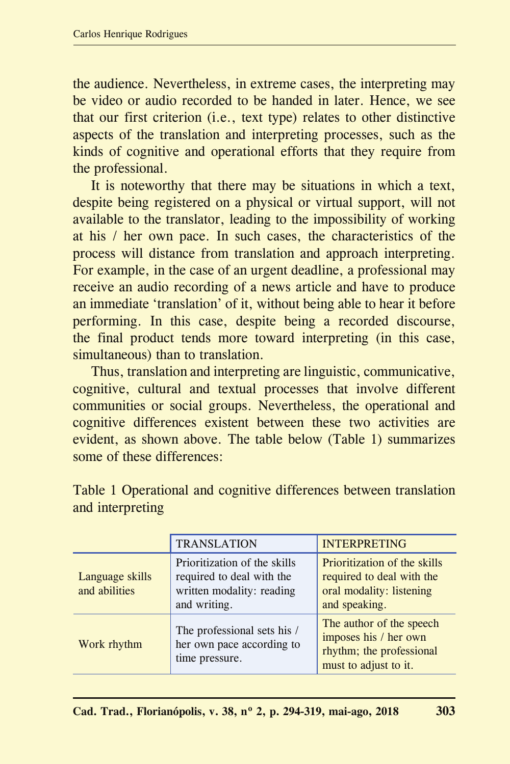the audience. Nevertheless, in extreme cases, the interpreting may be video or audio recorded to be handed in later. Hence, we see that our first criterion (i.e., text type) relates to other distinctive aspects of the translation and interpreting processes, such as the kinds of cognitive and operational efforts that they require from the professional.

It is noteworthy that there may be situations in which a text, despite being registered on a physical or virtual support, will not available to the translator, leading to the impossibility of working at his / her own pace. In such cases, the characteristics of the process will distance from translation and approach interpreting. For example, in the case of an urgent deadline, a professional may receive an audio recording of a news article and have to produce an immediate 'translation' of it, without being able to hear it before performing. In this case, despite being a recorded discourse, the final product tends more toward interpreting (in this case, simultaneous) than to translation.

Thus, translation and interpreting are linguistic, communicative, cognitive, cultural and textual processes that involve different communities or social groups. Nevertheless, the operational and cognitive differences existent between these two activities are evident, as shown above. The table below (Table 1) summarizes some of these differences:

|                                  | <b>TRANSLATION</b>                                                                                     | <b>INTERPRETING</b>                                                                                    |
|----------------------------------|--------------------------------------------------------------------------------------------------------|--------------------------------------------------------------------------------------------------------|
| Language skills<br>and abilities | Prioritization of the skills<br>required to deal with the<br>written modality: reading<br>and writing. | Prioritization of the skills<br>required to deal with the<br>oral modality: listening<br>and speaking. |
| Work rhythm                      | The professional sets his /<br>her own pace according to<br>time pressure.                             | The author of the speech<br>imposes his / her own<br>rhythm; the professional<br>must to adjust to it. |

Table 1 Operational and cognitive differences between translation and interpreting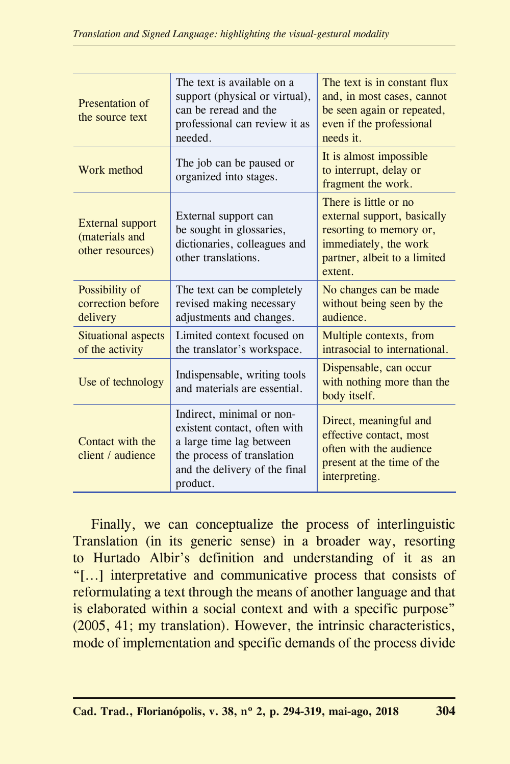| Presentation of<br>the source text                                                | The text is available on a<br>support (physical or virtual),<br>can be reread and the<br>professional can review it as<br>needed.                                | The text is in constant flux<br>and, in most cases, cannot<br>be seen again or repeated,<br>even if the professional<br>needs it.                   |
|-----------------------------------------------------------------------------------|------------------------------------------------------------------------------------------------------------------------------------------------------------------|-----------------------------------------------------------------------------------------------------------------------------------------------------|
| Work method                                                                       | The job can be paused or<br>organized into stages.                                                                                                               | It is almost impossible<br>to interrupt, delay or<br>fragment the work.                                                                             |
| External support<br>(materials and<br>other resources)                            | External support can<br>be sought in glossaries,<br>dictionaries, colleagues and<br>other translations.                                                          | There is little or no<br>external support, basically<br>resorting to memory or,<br>immediately, the work<br>partner, albeit to a limited<br>extent. |
| Possibility of<br>correction before<br>delivery                                   | The text can be completely<br>revised making necessary<br>adjustments and changes.                                                                               | No changes can be made<br>without being seen by the<br>audience.                                                                                    |
| Situational aspects<br>of the activity                                            | Limited context focused on<br>the translator's workspace.                                                                                                        | Multiple contexts, from<br>intrasocial to international.                                                                                            |
| Indispensable, writing tools<br>Use of technology<br>and materials are essential. |                                                                                                                                                                  | Dispensable, can occur<br>with nothing more than the<br>body itself.                                                                                |
| Contact with the<br>client / audience                                             | Indirect, minimal or non-<br>existent contact, often with<br>a large time lag between<br>the process of translation<br>and the delivery of the final<br>product. | Direct, meaningful and<br>effective contact, most<br>often with the audience<br>present at the time of the<br>interpreting.                         |

Finally, we can conceptualize the process of interlinguistic Translation (in its generic sense) in a broader way, resorting to Hurtado Albir's definition and understanding of it as an "[...] interpretative and communicative process that consists of reformulating a text through the means of another language and that is elaborated within a social context and with a specific purpose" (2005, 41; my translation). However, the intrinsic characteristics, mode of implementation and specific demands of the process divide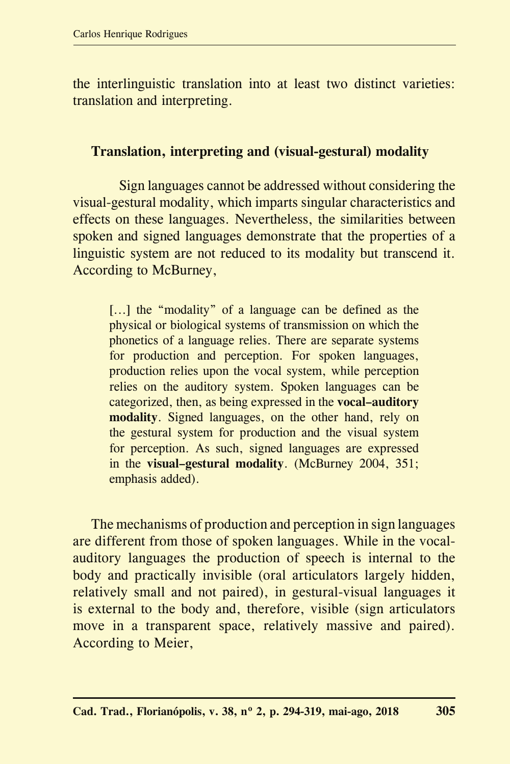the interlinguistic translation into at least two distinct varieties: translation and interpreting.

#### **Translation, interpreting and (visual-gestural) modality**

 Sign languages cannot be addressed without considering the visual-gestural modality, which imparts singular characteristics and effects on these languages. Nevertheless, the similarities between spoken and signed languages demonstrate that the properties of a linguistic system are not reduced to its modality but transcend it. According to McBurney,

[...] the "modality" of a language can be defined as the physical or biological systems of transmission on which the phonetics of a language relies. There are separate systems for production and perception. For spoken languages, production relies upon the vocal system, while perception relies on the auditory system. Spoken languages can be categorized, then, as being expressed in the **vocal–auditory modality**. Signed languages, on the other hand, rely on the gestural system for production and the visual system for perception. As such, signed languages are expressed in the **visual–gestural modality**. (McBurney 2004, 351; emphasis added).

The mechanisms of production and perception in sign languages are different from those of spoken languages. While in the vocalauditory languages the production of speech is internal to the body and practically invisible (oral articulators largely hidden, relatively small and not paired), in gestural-visual languages it is external to the body and, therefore, visible (sign articulators move in a transparent space, relatively massive and paired). According to Meier,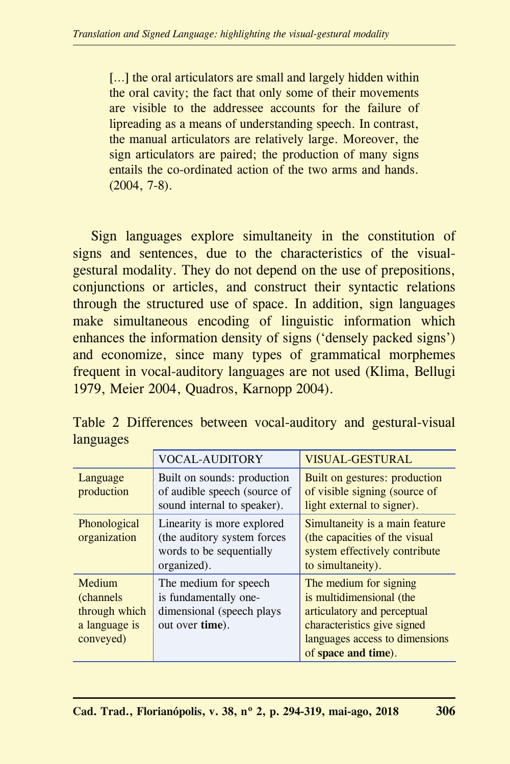[...] the oral articulators are small and largely hidden within the oral cavity; the fact that only some of their movements are visible to the addressee accounts for the failure of lipreading as a means of understanding speech. In contrast, the manual articulators are relatively large. Moreover, the sign articulators are paired; the production of many signs entails the co-ordinated action of the two arms and hands. (2004, 7-8).

Sign languages explore simultaneity in the constitution of signs and sentences, due to the characteristics of the visualgestural modality. They do not depend on the use of prepositions, conjunctions or articles, and construct their syntactic relations through the structured use of space. In addition, sign languages make simultaneous encoding of linguistic information which enhances the information density of signs ('densely packed signs') and economize, since many types of grammatical morphemes frequent in vocal-auditory languages are not used (Klima, Bellugi 1979, Meier 2004, Quadros, Karnopp 2004).

|                                                                            | <b>VOCAL-AUDITORY</b>                                                                                 | <b>VISUAL-GESTURAL</b>                                                                                                                                                    |
|----------------------------------------------------------------------------|-------------------------------------------------------------------------------------------------------|---------------------------------------------------------------------------------------------------------------------------------------------------------------------------|
| Language<br>production                                                     | Built on sounds: production<br>of audible speech (source of<br>sound internal to speaker).            | Built on gestures: production<br>of visible signing (source of<br>light external to signer).                                                                              |
| Phonological<br>organization                                               | Linearity is more explored<br>(the auditory system forces)<br>words to be sequentially<br>organized). | Simultaneity is a main feature<br>(the capacities of the visual<br>system effectively contribute<br>to simultaneity).                                                     |
| Medium<br><i>(channels)</i><br>through which<br>a language is<br>conveyed) | The medium for speech<br>is fundamentally one-<br>dimensional (speech plays)<br>out over time).       | The medium for signing<br>is multidimensional (the<br>articulatory and perceptual<br>characteristics give signed<br>languages access to dimensions<br>of space and time). |

Table 2 Differences between vocal-auditory and gestural-visual languages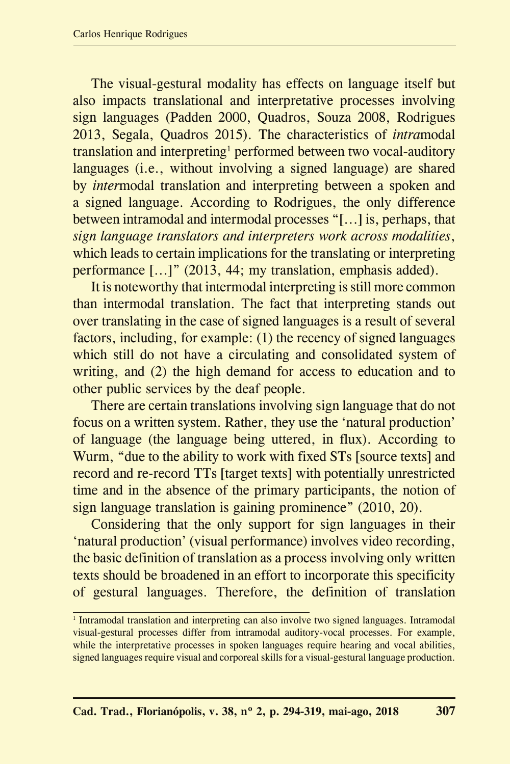The visual-gestural modality has effects on language itself but also impacts translational and interpretative processes involving sign languages (Padden 2000, Quadros, Souza 2008, Rodrigues 2013, Segala, Quadros 2015). The characteristics of *intra*modal translation and interpreting<sup>1</sup> performed between two vocal-auditory languages (i.e., without involving a signed language) are shared by *inter*modal translation and interpreting between a spoken and a signed language. According to Rodrigues, the only difference between intramodal and intermodal processes "[...] is, perhaps, that *sign language translators and interpreters work across modalities*, which leads to certain implications for the translating or interpreting performance [...]" (2013, 44; my translation, emphasis added).

It is noteworthy that intermodal interpreting is still more common than intermodal translation. The fact that interpreting stands out over translating in the case of signed languages is a result of several factors, including, for example: (1) the recency of signed languages which still do not have a circulating and consolidated system of writing, and (2) the high demand for access to education and to other public services by the deaf people.

There are certain translations involving sign language that do not focus on a written system. Rather, they use the 'natural production' of language (the language being uttered, in flux). According to Wurm, "due to the ability to work with fixed STs [source texts] and record and re-record TTs [target texts] with potentially unrestricted time and in the absence of the primary participants, the notion of sign language translation is gaining prominence" (2010, 20).

Considering that the only support for sign languages in their 'natural production' (visual performance) involves video recording, the basic definition of translation as a process involving only written texts should be broadened in an effort to incorporate this specificity of gestural languages. Therefore, the definition of translation

<sup>&</sup>lt;sup>1</sup> Intramodal translation and interpreting can also involve two signed languages. Intramodal visual-gestural processes differ from intramodal auditory-vocal processes. For example, while the interpretative processes in spoken languages require hearing and vocal abilities, signed languages require visual and corporeal skills for a visual-gestural language production.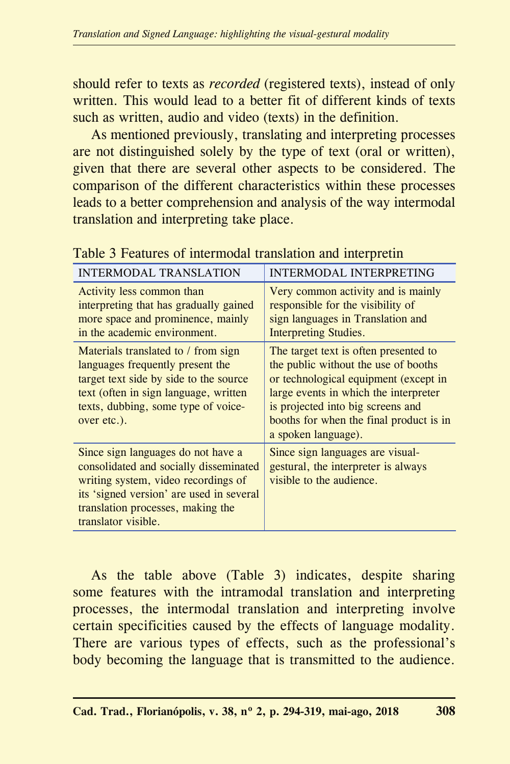should refer to texts as *recorded* (registered texts), instead of only written. This would lead to a better fit of different kinds of texts such as written, audio and video (texts) in the definition.

As mentioned previously, translating and interpreting processes are not distinguished solely by the type of text (oral or written), given that there are several other aspects to be considered. The comparison of the different characteristics within these processes leads to a better comprehension and analysis of the way intermodal translation and interpreting take place.

| <b>INTERMODAL TRANSLATION</b>                                                                                                                                                                                               | INTERMODAL INTERPRETING                                                                                                                                                                                                                                                |
|-----------------------------------------------------------------------------------------------------------------------------------------------------------------------------------------------------------------------------|------------------------------------------------------------------------------------------------------------------------------------------------------------------------------------------------------------------------------------------------------------------------|
| Activity less common than<br>interpreting that has gradually gained<br>more space and prominence, mainly<br>in the academic environment.                                                                                    | Very common activity and is mainly<br>responsible for the visibility of<br>sign languages in Translation and<br>Interpreting Studies.                                                                                                                                  |
| Materials translated to / from sign<br>languages frequently present the<br>target text side by side to the source<br>text (often in sign language, written<br>texts, dubbing, some type of voice-<br>over etc.).            | The target text is often presented to<br>the public without the use of booths<br>or technological equipment (except in<br>large events in which the interpreter<br>is projected into big screens and<br>booths for when the final product is in<br>a spoken language). |
| Since sign languages do not have a<br>consolidated and socially disseminated<br>writing system, video recordings of<br>its 'signed version' are used in several<br>translation processes, making the<br>translator visible. | Since sign languages are visual-<br>gestural, the interpreter is always<br>visible to the audience.                                                                                                                                                                    |

Table 3 Features of intermodal translation and interpretin

As the table above (Table 3) indicates, despite sharing some features with the intramodal translation and interpreting processes, the intermodal translation and interpreting involve certain specificities caused by the effects of language modality. There are various types of effects, such as the professional's body becoming the language that is transmitted to the audience.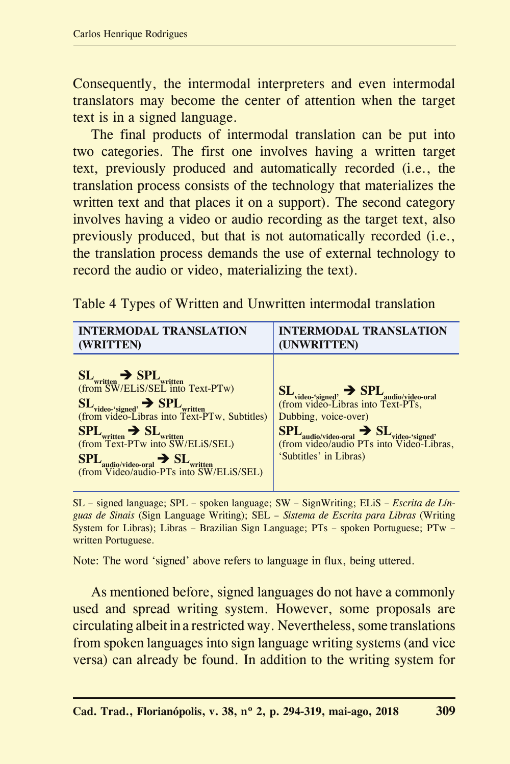Consequently, the intermodal interpreters and even intermodal translators may become the center of attention when the target text is in a signed language.

The final products of intermodal translation can be put into two categories. The first one involves having a written target text, previously produced and automatically recorded (i.e., the translation process consists of the technology that materializes the written text and that places it on a support). The second category involves having a video or audio recording as the target text, also previously produced, but that is not automatically recorded (i.e., the translation process demands the use of external technology to record the audio or video, materializing the text).

Table 4 Types of Written and Unwritten intermodal translation

| <b>INTERMODAL TRANSLATION</b>                                                                                                | <b>INTERMODAL TRANSLATION</b>                                                                                                          |
|------------------------------------------------------------------------------------------------------------------------------|----------------------------------------------------------------------------------------------------------------------------------------|
| (WRITTEN)                                                                                                                    | (UNWRITTEN)                                                                                                                            |
| $SL_{written} \rightarrow SPI_{ written}$<br>(from SW/ELiS/SEL into Text-PTw)                                                | $SL_{video\text{-}signed} \rightarrow SPI_{audio/video\text{-}oral}$<br>(from video-Libras into Text-PTs,                              |
| $SL_{video\text{-}^\text{-}signed} \rightarrow SPL_{written}$<br>(from video-Libras into Text-PTw, Subtitles)                | Dubbing, voice-over)                                                                                                                   |
| $\text{SPL}_{\text{written}}$ $\rightarrow$ SL<br>(from Text-PTw into SW/ELiS/SEL)                                           | $\text{SPL}_{\text{audio/video-oral}} \rightarrow \text{SL}_{\text{video-'signed'}}\\ \text{(from video/audio PTS into Video-Libras,}$ |
| $\text{SPL}_{\text{audio/video-oral}}$ $\rightarrow$ $\text{SL}_{\text{written}}$<br>(from Video/audio-PTs into SW/ELiS/SEL) | 'Subtitles' in Libras)                                                                                                                 |

SL – signed language; SPL – spoken language; SW – SignWriting; ELiS – *Escrita de Línguas de Sinais* (Sign Language Writing); SEL – *Sistema de Escrita para Libras* (Writing System for Libras); Libras – Brazilian Sign Language; PTs – spoken Portuguese; PTw – written Portuguese.

Note: The word 'signed' above refers to language in flux, being uttered.

As mentioned before, signed languages do not have a commonly used and spread writing system. However, some proposals are circulating albeit in a restricted way. Nevertheless, some translations from spoken languages into sign language writing systems (and vice versa) can already be found. In addition to the writing system for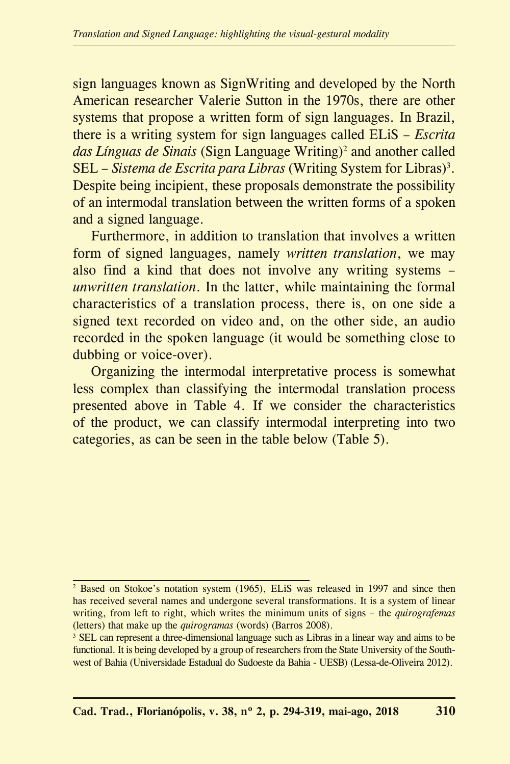sign languages known as SignWriting and developed by the North American researcher Valerie Sutton in the 1970s, there are other systems that propose a written form of sign languages. In Brazil, there is a writing system for sign languages called ELiS – *Escrita*  das Línguas de Sinais (Sign Language Writing)<sup>2</sup> and another called SEL – *Sistema de Escrita para Libras* (Writing System for Libras)<sup>3</sup> . Despite being incipient, these proposals demonstrate the possibility of an intermodal translation between the written forms of a spoken and a signed language.

Furthermore, in addition to translation that involves a written form of signed languages, namely *written translation*, we may also find a kind that does not involve any writing systems – *unwritten translation*. In the latter, while maintaining the formal characteristics of a translation process, there is, on one side a signed text recorded on video and, on the other side, an audio recorded in the spoken language (it would be something close to dubbing or voice-over).

Organizing the intermodal interpretative process is somewhat less complex than classifying the intermodal translation process presented above in Table 4. If we consider the characteristics of the product, we can classify intermodal interpreting into two categories, as can be seen in the table below (Table 5).

<sup>&</sup>lt;sup>2</sup> Based on Stokoe's notation system (1965), ELiS was released in 1997 and since then has received several names and undergone several transformations. It is a system of linear writing, from left to right, which writes the minimum units of signs – the *quirografemas*  (letters) that make up the *quirogramas* (words) (Barros 2008).

<sup>&</sup>lt;sup>3</sup> SEL can represent a three-dimensional language such as Libras in a linear way and aims to be functional. It is being developed by a group of researchers from the State University of the Southwest of Bahia (Universidade Estadual do Sudoeste da Bahia - UESB) (Lessa-de-Oliveira 2012).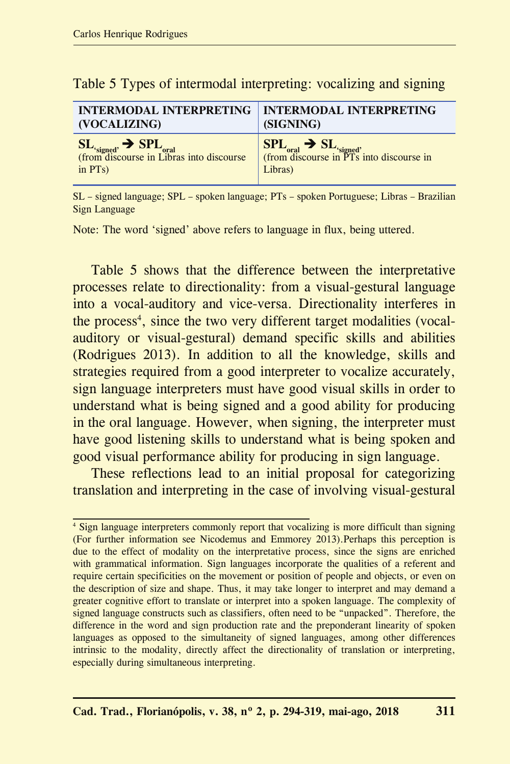| <b>INTERMODAL INTERPRETING</b>                                                                 | <b>INTERMODAL INTERPRETING</b>                                                                               |
|------------------------------------------------------------------------------------------------|--------------------------------------------------------------------------------------------------------------|
| (VOCALIZING)                                                                                   | (SIGNING)                                                                                                    |
| $SL_{\text{signed}} \rightarrow SPL_{\text{oral}}$<br>(from discourse in Libras into discourse | $\text{SPL}_{\text{oral}} \rightarrow \text{SL}_{\text{signed}}$<br>(from discourse in PTs into discourse in |
| in $PTs$ )                                                                                     | Libras)                                                                                                      |

Table 5 Types of intermodal interpreting: vocalizing and signing

SL – signed language; SPL – spoken language; PTs – spoken Portuguese; Libras – Brazilian Sign Language

Note: The word 'signed' above refers to language in flux, being uttered.

Table 5 shows that the difference between the interpretative processes relate to directionality: from a visual-gestural language into a vocal-auditory and vice-versa. Directionality interferes in the process<sup>4</sup>, since the two very different target modalities (vocalauditory or visual-gestural) demand specific skills and abilities (Rodrigues 2013). In addition to all the knowledge, skills and strategies required from a good interpreter to vocalize accurately, sign language interpreters must have good visual skills in order to understand what is being signed and a good ability for producing in the oral language. However, when signing, the interpreter must have good listening skills to understand what is being spoken and good visual performance ability for producing in sign language.

These reflections lead to an initial proposal for categorizing translation and interpreting in the case of involving visual-gestural

<sup>4</sup> Sign language interpreters commonly report that vocalizing is more difficult than signing (For further information see Nicodemus and Emmorey 2013).Perhaps this perception is due to the effect of modality on the interpretative process, since the signs are enriched with grammatical information. Sign languages incorporate the qualities of a referent and require certain specificities on the movement or position of people and objects, or even on the description of size and shape. Thus, it may take longer to interpret and may demand a greater cognitive effort to translate or interpret into a spoken language. The complexity of signed language constructs such as classifiers, often need to be "unpacked". Therefore, the difference in the word and sign production rate and the preponderant linearity of spoken languages as opposed to the simultaneity of signed languages, among other differences intrinsic to the modality, directly affect the directionality of translation or interpreting, especially during simultaneous interpreting.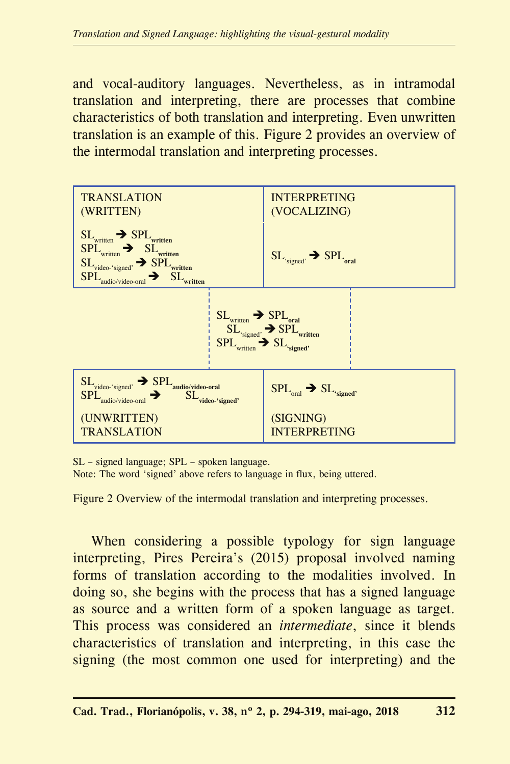and vocal-auditory languages. Nevertheless, as in intramodal translation and interpreting, there are processes that combine characteristics of both translation and interpreting. Even unwritten translation is an example of this. Figure 2 provides an overview of the intermodal translation and interpreting processes.



SL – signed language; SPL – spoken language.

Note: The word 'signed' above refers to language in flux, being uttered.

Figure 2 Overview of the intermodal translation and interpreting processes.

When considering a possible typology for sign language interpreting, Pires Pereira's (2015) proposal involved naming forms of translation according to the modalities involved. In doing so, she begins with the process that has a signed language as source and a written form of a spoken language as target. This process was considered an *intermediate*, since it blends characteristics of translation and interpreting, in this case the signing (the most common one used for interpreting) and the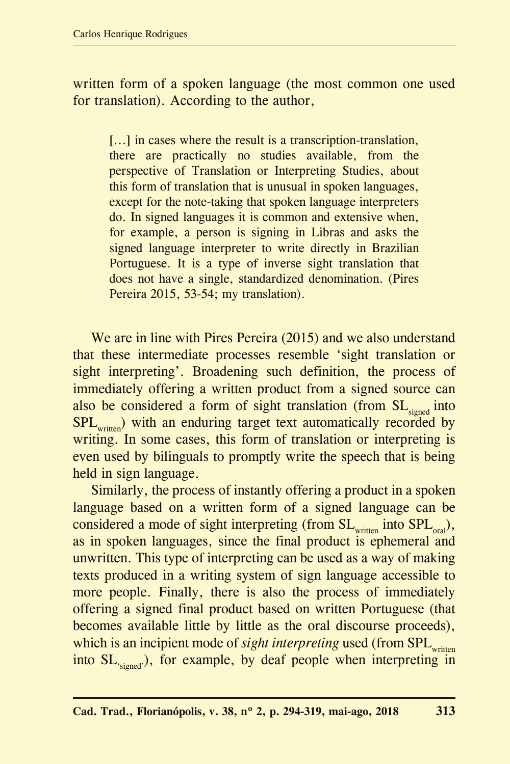written form of a spoken language (the most common one used for translation). According to the author,

[...] in cases where the result is a transcription-translation, there are practically no studies available, from the perspective of Translation or Interpreting Studies, about this form of translation that is unusual in spoken languages, except for the note-taking that spoken language interpreters do. In signed languages it is common and extensive when, for example, a person is signing in Libras and asks the signed language interpreter to write directly in Brazilian Portuguese. It is a type of inverse sight translation that does not have a single, standardized denomination. (Pires Pereira 2015, 53-54; my translation).

We are in line with Pires Pereira (2015) and we also understand that these intermediate processes resemble 'sight translation or sight interpreting'. Broadening such definition, the process of immediately offering a written product from a signed source can also be considered a form of sight translation (from  $SL<sub>simed</sub>$  into SPL<sub>written</sub>) with an enduring target text automatically recorded by writing. In some cases, this form of translation or interpreting is even used by bilinguals to promptly write the speech that is being held in sign language.

Similarly, the process of instantly offering a product in a spoken language based on a written form of a signed language can be considered a mode of sight interpreting (from  $SL_{\text{written}}$  into  $SPL_{\text{oral}}$ ), as in spoken languages, since the final product is ephemeral and unwritten. This type of interpreting can be used as a way of making texts produced in a writing system of sign language accessible to more people. Finally, there is also the process of immediately offering a signed final product based on written Portuguese (that becomes available little by little as the oral discourse proceeds), which is an incipient mode of *sight interpreting* used (from SPL<sub>written</sub> into SL<sub>'signed</sub>'), for example, by deaf people when interpreting in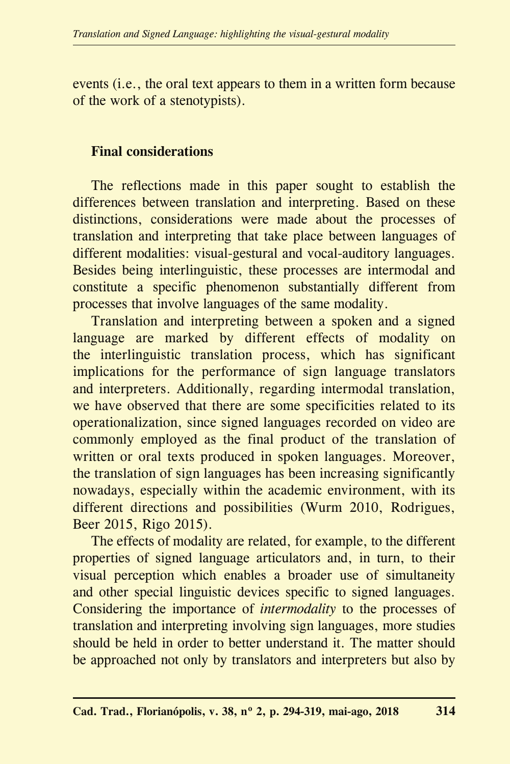events (i.e., the oral text appears to them in a written form because of the work of a stenotypists).

### **Final considerations**

The reflections made in this paper sought to establish the differences between translation and interpreting. Based on these distinctions, considerations were made about the processes of translation and interpreting that take place between languages of different modalities: visual-gestural and vocal-auditory languages. Besides being interlinguistic, these processes are intermodal and constitute a specific phenomenon substantially different from processes that involve languages of the same modality.

Translation and interpreting between a spoken and a signed language are marked by different effects of modality on the interlinguistic translation process, which has significant implications for the performance of sign language translators and interpreters. Additionally, regarding intermodal translation, we have observed that there are some specificities related to its operationalization, since signed languages recorded on video are commonly employed as the final product of the translation of written or oral texts produced in spoken languages. Moreover, the translation of sign languages has been increasing significantly nowadays, especially within the academic environment, with its different directions and possibilities (Wurm 2010, Rodrigues, Beer 2015, Rigo 2015).

The effects of modality are related, for example, to the different properties of signed language articulators and, in turn, to their visual perception which enables a broader use of simultaneity and other special linguistic devices specific to signed languages. Considering the importance of *intermodality* to the processes of translation and interpreting involving sign languages, more studies should be held in order to better understand it. The matter should be approached not only by translators and interpreters but also by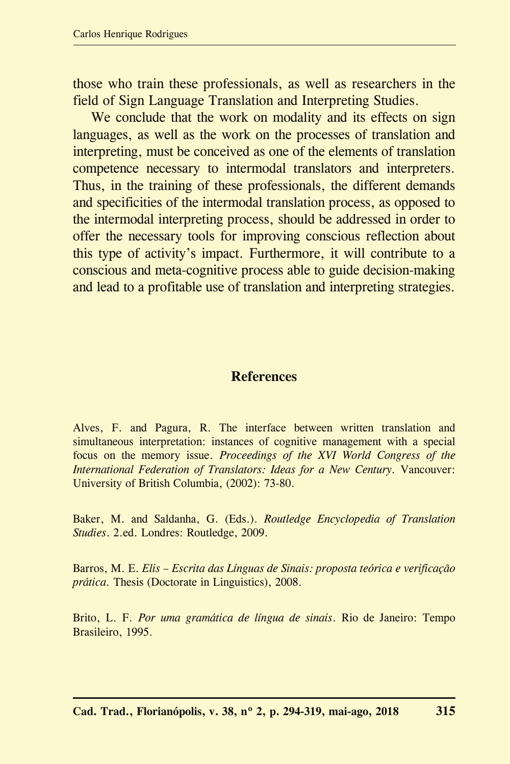those who train these professionals, as well as researchers in the field of Sign Language Translation and Interpreting Studies.

We conclude that the work on modality and its effects on sign languages, as well as the work on the processes of translation and interpreting, must be conceived as one of the elements of translation competence necessary to intermodal translators and interpreters. Thus, in the training of these professionals, the different demands and specificities of the intermodal translation process, as opposed to the intermodal interpreting process, should be addressed in order to offer the necessary tools for improving conscious reflection about this type of activity's impact. Furthermore, it will contribute to a conscious and meta-cognitive process able to guide decision-making and lead to a profitable use of translation and interpreting strategies.

#### **References**

Alves, F. and Pagura, R. The interface between written translation and simultaneous interpretation: instances of cognitive management with a special focus on the memory issue. *Proceedings of the XVI World Congress of the International Federation of Translators: Ideas for a New Century.* Vancouver: University of British Columbia, (2002): 73-80.

Baker, M. and Saldanha, G. (Eds.). *Routledge Encyclopedia of Translation Studies*. 2.ed. Londres: Routledge, 2009.

Barros, M. E. *Elis – Escrita das Línguas de Sinais: proposta teórica e verificação prática.* Thesis (Doctorate in Linguistics), 2008.

Brito, L. F. *Por uma gramática de língua de sinais*. Rio de Janeiro: Tempo Brasileiro, 1995.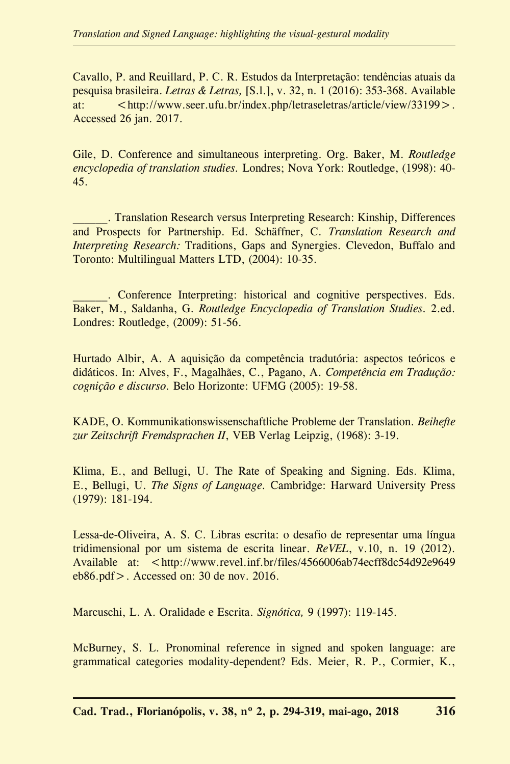Cavallo, P. and Reuillard, P. C. R. Estudos da Interpretação: tendências atuais da pesquisa brasileira. *Letras & Letras,* [S.l.], v. 32, n. 1 (2016): 353-368. Available at:  $\frac{1}{\pi}$  < http://www.seer.ufu.br/index.php/letraseletras/article/view/33199>. Accessed 26 jan. 2017.

Gile, D. Conference and simultaneous interpreting. Org. Baker, M. *Routledge encyclopedia of translation studies.* Londres; Nova York: Routledge, (1998): 40- 45.

\_\_\_\_\_\_. Translation Research versus Interpreting Research: Kinship, Differences and Prospects for Partnership. Ed. Schäffner, C. *Translation Research and Interpreting Research:* Traditions, Gaps and Synergies. Clevedon, Buffalo and Toronto: Multilingual Matters LTD, (2004): 10-35.

. Conference Interpreting: historical and cognitive perspectives. Eds. Baker, M., Saldanha, G. *Routledge Encyclopedia of Translation Studies.* 2.ed. Londres: Routledge, (2009): 51-56.

Hurtado Albir, A. A aquisição da competência tradutória: aspectos teóricos e didáticos. In: Alves, F., Magalhães, C., Pagano, A. *Competência em Tradução: cognição e discurso.* Belo Horizonte: UFMG (2005): 19-58.

KADE, O. Kommunikationswissenschaftliche Probleme der Translation. *Beihefte zur Zeitschrift Fremdsprachen II*, VEB Verlag Leipzig, (1968): 3-19.

Klima, E., and Bellugi, U. The Rate of Speaking and Signing. Eds. Klima, E., Bellugi, U. *The Signs of Language.* Cambridge: Harward University Press (1979): 181-194.

Lessa-de-Oliveira, A. S. C. Libras escrita: o desafio de representar uma língua tridimensional por um sistema de escrita linear. *ReVEL*, v.10, n. 19 (2012). Available at: <http://www.revel.inf.br/files/4566006ab74ecff8dc54d92e9649 eb86.pdf>. Accessed on: 30 de nov. 2016.

Marcuschi, L. A. Oralidade e Escrita. *Signótica,* 9 (1997): 119-145.

McBurney, S. L. Pronominal reference in signed and spoken language: are grammatical categories modality-dependent? Eds. Meier, R. P., Cormier, K.,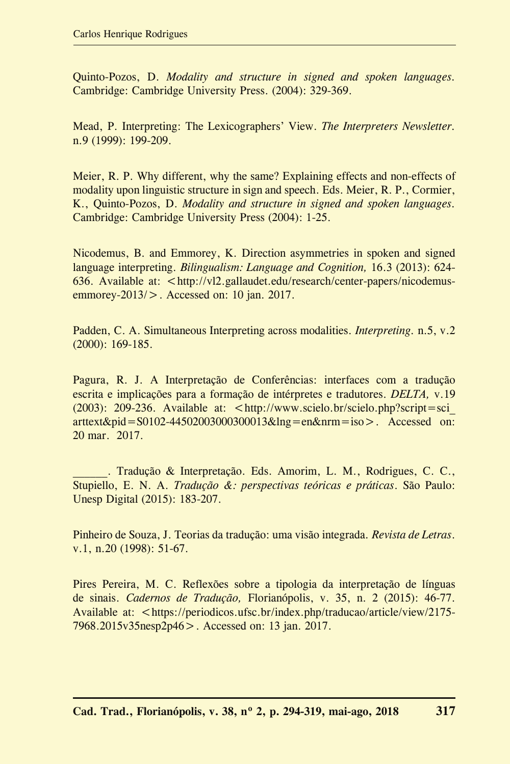Quinto-Pozos, D. *Modality and structure in signed and spoken languages.* Cambridge: Cambridge University Press. (2004): 329-369.

Mead, P. Interpreting: The Lexicographers' View. *The Interpreters Newsletter.* n.9 (1999): 199-209.

Meier, R. P. Why different, why the same? Explaining effects and non-effects of modality upon linguistic structure in sign and speech. Eds. Meier, R. P., Cormier, K., Quinto-Pozos, D. *Modality and structure in signed and spoken languages.* Cambridge: Cambridge University Press (2004): 1-25.

Nicodemus, B. and Emmorey, K. Direction asymmetries in spoken and signed language interpreting. *Bilingualism: Language and Cognition,* 16.3 (2013): 624- 636. Available at: <http://vl2.gallaudet.edu/research/center-papers/nicodemusemmorey-2013/>. Accessed on: 10 jan. 2017.

Padden, C. A. Simultaneous Interpreting across modalities. *Interpreting.* n.5, v.2 (2000): 169-185.

Pagura, R. J. A Interpretação de Conferências: interfaces com a tradução escrita e implicações para a formação de intérpretes e tradutores. *DELTA,* v.19  $(2003)$ : 209-236. Available at:  $\lt$ http://www.scielo.br/scielo.php?script=sci arttext&pid=S0102-44502003000300013&lng=en&nrm=iso>. Accessed on: 20 mar. 2017.

. Tradução & Interpretação. Eds. Amorim, L. M., Rodrigues, C. C., Stupiello, E. N. A. *Tradução &: perspectivas teóricas e práticas*. São Paulo: Unesp Digital (2015): 183-207.

Pinheiro de Souza, J. Teorias da tradução: uma visão integrada*. Revista de Letras*. v.1, n.20 (1998): 51-67.

Pires Pereira, M. C. Reflexões sobre a tipologia da interpretação de línguas de sinais. *Cadernos de Tradução,* Florianópolis, v. 35, n. 2 (2015): 46-77. Available at: <https://periodicos.ufsc.br/index.php/traducao/article/view/2175-7968.2015v35nesp2p46>. Accessed on: 13 jan. 2017.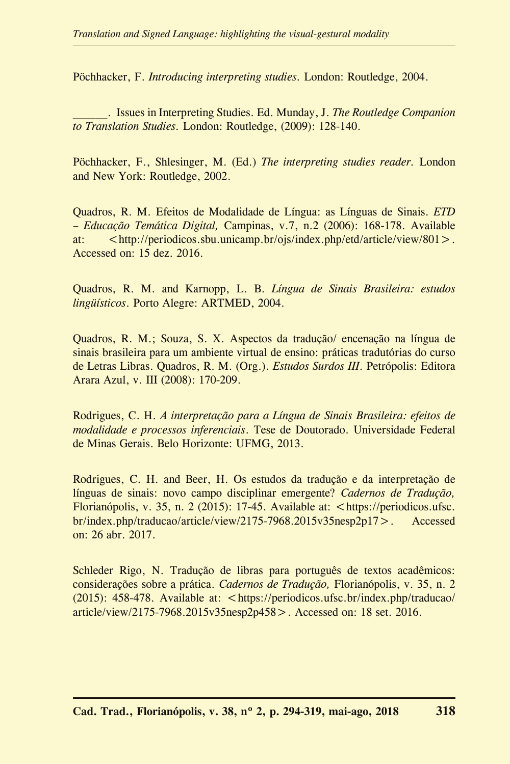Pöchhacker, F. *Introducing interpreting studies.* London: Routledge, 2004.

\_\_\_\_\_\_. Issues in Interpreting Studies. Ed. Munday, J. *The Routledge Companion to Translation Studies.* London: Routledge, (2009): 128-140.

Pöchhacker, F., Shlesinger, M. (Ed.) *The interpreting studies reader.* London and New York: Routledge, 2002.

Quadros, R. M. Efeitos de Modalidade de Língua: as Línguas de Sinais. *ETD – Educação Temática Digital,* Campinas, v.7, n.2 (2006): 168-178. Available at:  $\langle \text{http://periodicos.sbu.unicamp.br/ojs/index.php/etd/article/view/801>}\rangle$ . Accessed on: 15 dez. 2016.

Quadros, R. M. and Karnopp, L. B. *Língua de Sinais Brasileira: estudos lingüísticos*. Porto Alegre: ARTMED, 2004.

Quadros, R. M.; Souza, S. X. Aspectos da tradução/ encenação na língua de sinais brasileira para um ambiente virtual de ensino: práticas tradutórias do curso de Letras Libras. Quadros, R. M. (Org.). *Estudos Surdos III*. Petrópolis: Editora Arara Azul, v. III (2008): 170-209.

Rodrigues, C. H. *A interpretação para a Língua de Sinais Brasileira: efeitos de modalidade e processos inferenciais*. Tese de Doutorado. Universidade Federal de Minas Gerais. Belo Horizonte: UFMG, 2013.

Rodrigues, C. H. and Beer, H. Os estudos da tradução e da interpretação de línguas de sinais: novo campo disciplinar emergente? *Cadernos de Tradução,* Florianópolis, v. 35, n. 2 (2015): 17-45. Available at: <https://periodicos.ufsc. br/index.php/traducao/article/view/2175-7968.2015v35nesp2p17>. Accessed on: 26 abr. 2017.

Schleder Rigo, N. Tradução de libras para português de textos acadêmicos: considerações sobre a prática. *Cadernos de Tradução,* Florianópolis, v. 35, n. 2 (2015): 458-478. Available at: <https://periodicos.ufsc.br/index.php/traducao/ article/view/2175-7968.2015v35nesp2p458>. Accessed on: 18 set. 2016.